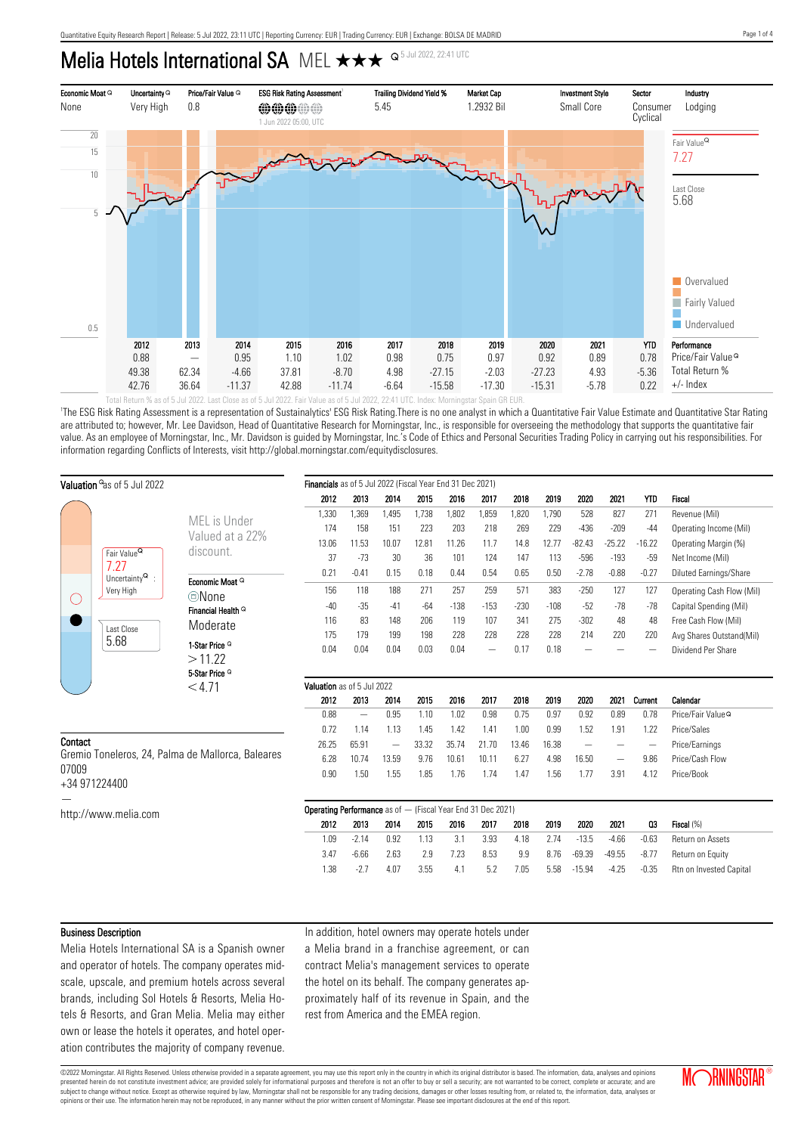# Melia Hotels International SA MEL  $\star\star\star$  **Q 5 Jul 2022, 22:41 UTC**



'The ESG Risk Rating Assessment is a representation of Sustainalytics' ESG Risk Rating.There is no one analyst in which a Quantitative Fair Value Estimate and Quantitative Star Rating are attributed to; however, Mr. Lee Davidson, Head of Quantitative Research for Morningstar, Inc., is responsible for overseeing the methodology that supports the quantitative fair value. As an employee of Morningstar, Inc., Mr. Davidson is guided by Morningstar, Inc.'s Code of Ethics and Personal Securities Trading Policy in carrying out his responsibilities. For information regarding Conflicts of Interests, visit http://global.morningstar.com/equitydisclosures.

| Valuation <sup>a</sup> as of 5 Jul 2022                                                |                                                                                                     |                                                                          | Financials as of 5 Jul 2022 (Fiscal Year End 31 Dec 2021) |                          |                   |       |        |        |        |        |          |                 |                          |                               |
|----------------------------------------------------------------------------------------|-----------------------------------------------------------------------------------------------------|--------------------------------------------------------------------------|-----------------------------------------------------------|--------------------------|-------------------|-------|--------|--------|--------|--------|----------|-----------------|--------------------------|-------------------------------|
|                                                                                        |                                                                                                     |                                                                          | 2012                                                      | 2013                     | 2014              | 2015  | 2016   | 2017   | 2018   | 2019   | 2020     | 2021            | <b>YTD</b>               | Fiscal                        |
| $\left(\begin{array}{c} \end{array}\right)$                                            | Fair Value <sup>Q</sup><br>7.27<br>Uncertainty $^{\mathsf{Q}}$ :<br>Very High<br>Last Close<br>5.68 | MEL is Under<br>Valued at a 22%<br>discount.<br>Economic Moat Q<br>©None | 1,330                                                     | 1,369                    | 1,495             | 1,738 | 1,802  | 1,859  | 1,820  | 1,790  | 528      | 827             | 271                      | Revenue (Mil)                 |
|                                                                                        |                                                                                                     |                                                                          | 174                                                       | 158                      | 151               | 223   | 203    | 218    | 269    | 229    | $-436$   | $-209$          | $-44$                    | Operating Income (Mil)        |
|                                                                                        |                                                                                                     |                                                                          | 13.06                                                     | 11.53                    | 10.07             | 12.81 | 11.26  | 11.7   | 14.8   | 12.77  | $-82.43$ | $-25.22$        | $-16.22$                 | Operating Margin (%)          |
|                                                                                        |                                                                                                     |                                                                          | 37                                                        | $-73$                    | 30                | 36    | 101    | 124    | 147    | 113    | $-596$   | $-193$          | $-59$                    | Net Income (Mil)              |
|                                                                                        |                                                                                                     |                                                                          | 0.21                                                      | $-0.41$                  | 0.15              | 0.18  | 0.44   | 0.54   | 0.65   | 0.50   | $-2.78$  | $-0.88$         | $-0.27$                  | Diluted Earnings/Share        |
|                                                                                        |                                                                                                     |                                                                          | 156                                                       | 118                      | 188               | 271   | 257    | 259    | 571    | 383    | $-250$   | 127             | 127                      | Operating Cash Flow (Mil)     |
|                                                                                        |                                                                                                     | Financial Health <sup>Q</sup>                                            | $-40$                                                     | $-35$                    | $-41$             | $-64$ | $-138$ | $-153$ | $-230$ | $-108$ | $-52$    | $-78$           | $-78$                    | Capital Spending (Mil)        |
|                                                                                        |                                                                                                     | Moderate                                                                 | 116                                                       | 83                       | 148               | 206   | 119    | 107    | 341    | 275    | $-302$   | 48              | 48                       | Free Cash Flow (Mil)          |
|                                                                                        |                                                                                                     |                                                                          | 175                                                       | 179                      | 199               | 198   | 228    | 228    | 228    | 228    | 214      | 220             | 220                      | Avg Shares Outstand(Mil)      |
|                                                                                        |                                                                                                     | 1-Star Price <sup>Q</sup><br>>11.22                                      | 0.04                                                      | 0.04                     | 0.04              | 0.03  | 0.04   |        | 0.17   | 0.18   |          |                 |                          | Dividend Per Share            |
|                                                                                        |                                                                                                     | 5-Star Price <sup>Q</sup>                                                |                                                           |                          |                   |       |        |        |        |        |          |                 |                          |                               |
|                                                                                        |                                                                                                     | Valuation as of 5 Jul 2022                                               |                                                           |                          |                   |       |        |        |        |        |          |                 |                          |                               |
|                                                                                        |                                                                                                     | < 4.71                                                                   | 2012                                                      | 2013                     | 2014              | 2015  | 2016   | 2017   | 2018   | 2019   | 2020     | 2021            | Current                  | Calendar                      |
|                                                                                        |                                                                                                     |                                                                          | 0.88                                                      | $\overline{\phantom{m}}$ | 0.95              | 1.10  | 1.02   | 0.98   | 0.75   | 0.97   | 0.92     | 0.89            | 0.78                     | Price/Fair Value <sup>Q</sup> |
|                                                                                        |                                                                                                     |                                                                          | 0.72                                                      | 1.14                     | 1.13              | 1.45  | 1.42   | 1.41   | 1.00   | 0.99   | 1.52     | 1.91            | 1.22                     | Price/Sales                   |
| Contact<br>Gremio Toneleros, 24, Palma de Mallorca, Baleares<br>07009<br>+34 971224400 |                                                                                                     |                                                                          | 26.25                                                     | 65.91                    | $\qquad \qquad -$ | 33.32 | 35.74  | 21.70  | 13.46  | 16.38  |          | $\qquad \qquad$ | $\overline{\phantom{m}}$ | Price/Earnings                |
|                                                                                        |                                                                                                     |                                                                          | 6.28                                                      | 10.74                    | 13.59             | 9.76  | 10.61  | 10.11  | 6.27   | 4.98   | 16.50    |                 | 9.86                     | Price/Cash Flow               |
|                                                                                        |                                                                                                     |                                                                          | 0.90                                                      | 1.50                     | 1.55              | 1.85  | 1.76   | 1.74   | 1.47   | 1.56   | 1.77     | 3.91            | 4.12                     | Price/Book                    |
| http://www.melia.com                                                                   |                                                                                                     | <b>Operating Performance</b> as of $-$ (Fiscal Year End 31 Dec 2021)     |                                                           |                          |                   |       |        |        |        |        |          |                 |                          |                               |
|                                                                                        |                                                                                                     |                                                                          | 2012                                                      | 2013                     | 2014              | 2015  | 2016   | 2017   | 2018   | 2019   | 2020     | 2021            | Q3                       | Fiscal (%)                    |
|                                                                                        |                                                                                                     |                                                                          | 1.09                                                      | $-2.14$                  | 0.92              | 1.13  | 3.1    | 3.93   | 4.18   | 2.74   | $-13.5$  | $-4.66$         | $-0.63$                  | Return on Assets              |
|                                                                                        |                                                                                                     |                                                                          | 3.47                                                      | $-6.66$                  | 2.63              | 2.9   | 7.23   | 8.53   | 9.9    | 8.76   | $-69.39$ | $-49.55$        | $-8.77$                  | Return on Equity              |

#### Business Description

Melia Hotels International SA is a Spanish owner and operator of hotels. The company operates midscale, upscale, and premium hotels across several brands, including Sol Hotels & Resorts, Melia Hotels & Resorts, and Gran Melia. Melia may either own or lease the hotels it operates, and hotel operation contributes the majority of company revenue. In addition, hotel owners may operate hotels under a Melia brand in a franchise agreement, or can contract Melia's management services to operate the hotel on its behalf. The company generates approximately half of its revenue in Spain, and the rest from America and the EMEA region.

1.38 -2.7 4.07 3.55 4.1 5.2 7.05 5.58 -15.94 -4.25 -0.35 Rtn on Invested Capital

©2022 Morningstar. All Rights Reserved. Unless otherwise provided in a separate agreement, you may use this report only in the country in which its original distributor is based. The information, data, analyses and opinions presented herein do not constitute investment advice; are provided solely for informational purposes and therefore is not an offer to buy or sell a security; are not warranted to be correct, complete or accurate; and are subject to change without notice. Except as otherwise required by law, Morningstar shall not be responsible for any trading decisions, damages or other losses resulting from, or related to, the information, data, analyses opinions or their use. The information herein may not be reproduced, in any manner without the prior written consent of Morningstar. Please see important disclosures at the end of this report.

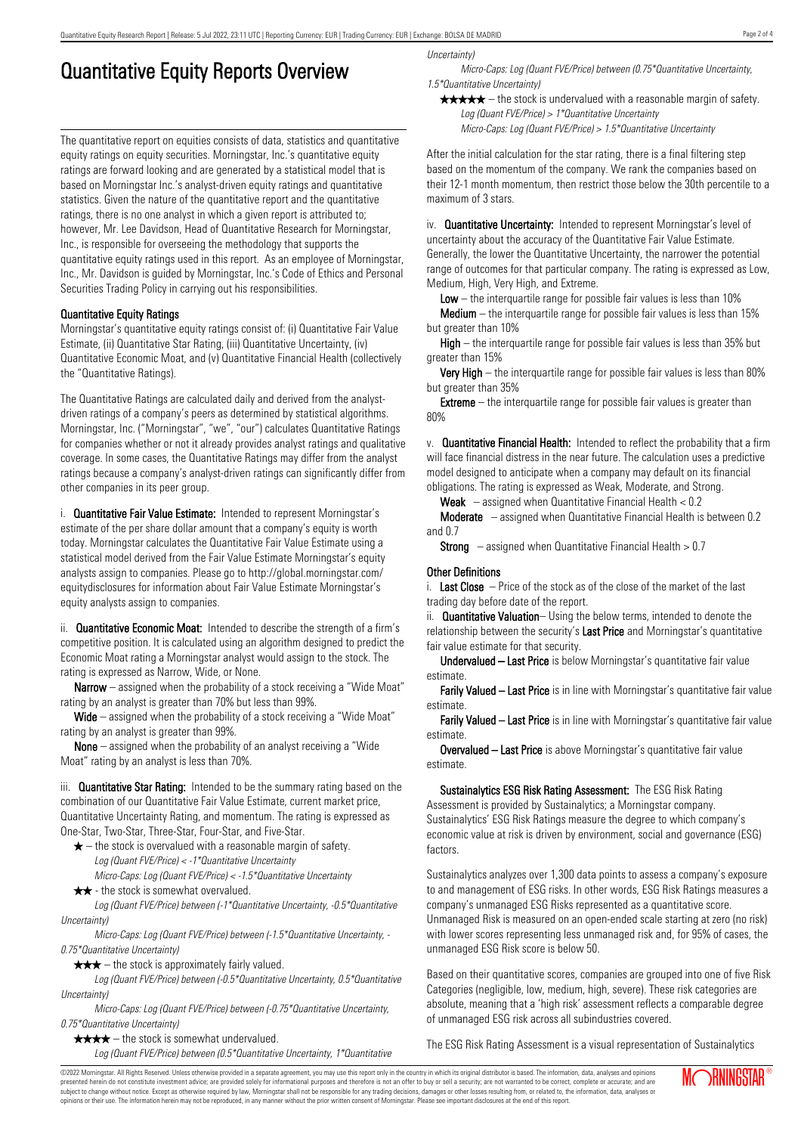## Quantitative Equity Reports Overview

The quantitative report on equities consists of data, statistics and quantitative equity ratings on equity securities. Morningstar, Inc.'s quantitative equity ratings are forward looking and are generated by a statistical model that is based on Morningstar Inc.'s analyst-driven equity ratings and quantitative statistics. Given the nature of the quantitative report and the quantitative ratings, there is no one analyst in which a given report is attributed to; however, Mr. Lee Davidson, Head of Quantitative Research for Morningstar, Inc., is responsible for overseeing the methodology that supports the quantitative equity ratings used in this report. As an employee of Morningstar, Inc., Mr. Davidson is guided by Morningstar, Inc.'s Code of Ethics and Personal Securities Trading Policy in carrying out his responsibilities.

#### Quantitative Equity Ratings

Morningstar's quantitative equity ratings consist of: (i) Quantitative Fair Value Estimate, (ii) Quantitative Star Rating, (iii) Quantitative Uncertainty, (iv) Quantitative Economic Moat, and (v) Quantitative Financial Health (collectively the "Quantitative Ratings).

The Quantitative Ratings are calculated daily and derived from the analystdriven ratings of a company's peers as determined by statistical algorithms. Morningstar, Inc. ("Morningstar", "we", "our") calculates Quantitative Ratings for companies whether or not it already provides analyst ratings and qualitative coverage. In some cases, the Quantitative Ratings may differ from the analyst ratings because a company's analyst-driven ratings can significantly differ from other companies in its peer group.

i. **Quantitative Fair Value Estimate:** Intended to represent Morningstar's estimate of the per share dollar amount that a company's equity is worth today. Morningstar calculates the Quantitative Fair Value Estimate using a statistical model derived from the Fair Value Estimate Morningstar's equity analysts assign to companies. Please go to http://global.morningstar.com/ equitydisclosures for information about Fair Value Estimate Morningstar's equity analysts assign to companies.

ii. **Quantitative Economic Moat:** Intended to describe the strength of a firm's competitive position. It is calculated using an algorithm designed to predict the Economic Moat rating a Morningstar analyst would assign to the stock. The rating is expressed as Narrow, Wide, or None.

**Narrow** – assigned when the probability of a stock receiving a "Wide Moat" rating by an analyst is greater than 70% but less than 99%.

Wide – assigned when the probability of a stock receiving a "Wide Moat" rating by an analyst is greater than 99%.

None – assigned when the probability of an analyst receiving a "Wide Moat" rating by an analyst is less than 70%.

iii. **Quantitative Star Rating:** Intended to be the summary rating based on the combination of our Quantitative Fair Value Estimate, current market price, Quantitative Uncertainty Rating, and momentum. The rating is expressed as One-Star, Two-Star, Three-Star, Four-Star, and Five-Star.

- $\star$  the stock is overvalued with a reasonable margin of safety. Log (Quant FVE/Price) < -1\*Quantitative Uncertainty
- Micro-Caps: Log (Quant FVE/Price) < -1.5\*Quantitative Uncertainty  $\star \star$  - the stock is somewhat overvalued.

Log (Quant FVE/Price) between (-1\*Quantitative Uncertainty, -0.5\*Quantitative Uncertainty)

Micro-Caps: Log (Quant FVE/Price) between (-1.5\*Quantitative Uncertainty, - 0.75\*Quantitative Uncertainty)

 $\star \star \star$  – the stock is approximately fairly valued.

Log (Quant FVE/Price) between (-0.5\*Quantitative Uncertainty, 0.5\*Quantitative Uncertainty)

Micro-Caps: Log (Quant FVE/Price) between (-0.75\*Quantitative Uncertainty, 0.75\*Quantitative Uncertainty)

 $\star \star \star \star$  – the stock is somewhat undervalued.

Log (Quant FVE/Price) between (0.5\*Quantitative Uncertainty, 1\*Quantitative

Uncertainty)

Micro-Caps: Log (Quant FVE/Price) between (0.75\*Quantitative Uncertainty, 1.5\*Quantitative Uncertainty)

 $\star \star \star \star$  – the stock is undervalued with a reasonable margin of safety. Log (Quant FVE/Price) > 1\*Quantitative Uncertainty

Micro-Caps: Log (Quant FVE/Price) > 1.5\*Quantitative Uncertainty

After the initial calculation for the star rating, there is a final filtering step based on the momentum of the company. We rank the companies based on their 12-1 month momentum, then restrict those below the 30th percentile to a maximum of 3 stars.

iv. **Quantitative Uncertainty:** Intended to represent Morningstar's level of uncertainty about the accuracy of the Quantitative Fair Value Estimate. Generally, the lower the Quantitative Uncertainty, the narrower the potential range of outcomes for that particular company. The rating is expressed as Low, Medium, High, Very High, and Extreme.

**Low** – the interguartile range for possible fair values is less than  $10\%$ 

**Medium** – the interquartile range for possible fair values is less than  $15\%$ but greater than 10%

High – the interquartile range for possible fair values is less than 35% but greater than 15%

Very High – the interquartile range for possible fair values is less than 80% but greater than 35%

**Extreme** – the interquartile range for possible fair values is greater than 80%

v. Quantitative Financial Health: Intended to reflect the probability that a firm will face financial distress in the near future. The calculation uses a predictive model designed to anticipate when a company may default on its financial obligations. The rating is expressed as Weak, Moderate, and Strong.

**Weak**  $-$  assigned when Quantitative Financial Health  $< 0.2$ 

Moderate – assigned when Quantitative Financial Health is between 0.2 and 0.7

**Strong** – assigned when Quantitative Financial Health  $> 0.7$ 

#### Other Definitions

i. Last Close  $-$  Price of the stock as of the close of the market of the last trading day before date of the report.

ii. **Quantitative Valuation**– Using the below terms, intended to denote the relationship between the security's Last Price and Morningstar's quantitative fair value estimate for that security.

Undervalued – Last Price is below Morningstar's quantitative fair value estimate.

Farily Valued – Last Price is in line with Morningstar's quantitative fair value estimate.

Farily Valued – Last Price is in line with Morningstar's quantitative fair value estimate.

Overvalued – Last Price is above Morningstar's quantitative fair value estimate.

Sustainalytics ESG Risk Rating Assessment: The ESG Risk Rating Assessment is provided by Sustainalytics; a Morningstar company. Sustainalytics' ESG Risk Ratings measure the degree to which company's economic value at risk is driven by environment, social and governance (ESG) factors.

Sustainalytics analyzes over 1,300 data points to assess a company's exposure to and management of ESG risks. In other words, ESG Risk Ratings measures a company's unmanaged ESG Risks represented as a quantitative score. Unmanaged Risk is measured on an open-ended scale starting at zero (no risk) with lower scores representing less unmanaged risk and, for 95% of cases, the unmanaged ESG Risk score is below 50.

Based on their quantitative scores, companies are grouped into one of five Risk Categories (negligible, low, medium, high, severe). These risk categories are absolute, meaning that a 'high risk' assessment reflects a comparable degree of unmanaged ESG risk across all subindustries covered.

The ESG Risk Rating Assessment is a visual representation of Sustainalytics

©2022 Morningstar. All Rights Reserved. Unless otherwise provided in a separate agreement, you may use this report only in the country in which its original distributor is based. The information, data, analyses and opinions presented herein do not constitute investment advice; are provided solely for informational purposes and therefore is not an offer to buy or sell a security; are not warranted to be correct, complete or accurate; and are subject to change without notice. Except as otherwise required by law, Morningstar shall not be responsible for any trading decisions, damages or other losses resulting from, or related to, the information, data, analyses or opinions or their use. The information herein may not be reproduced, in any manner without the prior written consent of Morningstar. Please see important disclosures at the end of this report.

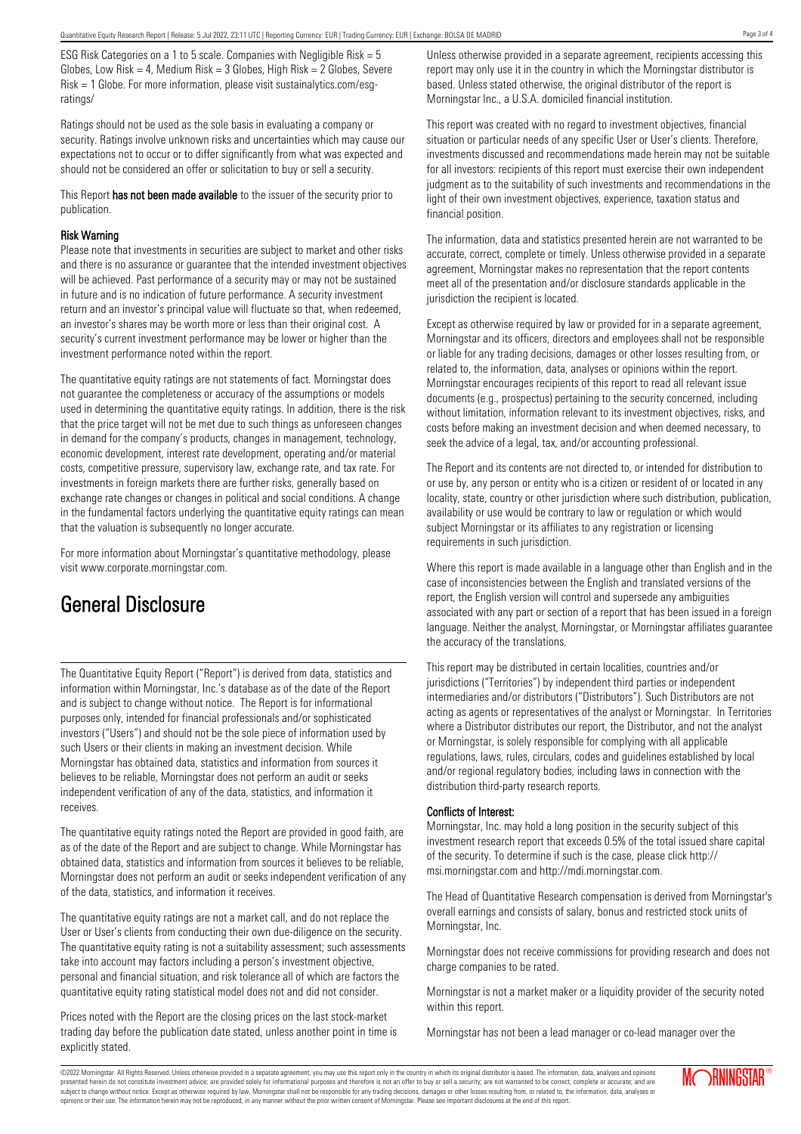ESG Risk Categories on a 1 to 5 scale. Companies with Negligible Risk = 5 Globes, Low Risk = 4, Medium Risk =  $3$  Globes, High Risk =  $2$  Globes, Severe Risk = 1 Globe. For more information, please visit sustainalytics.com/esgratings/

Ratings should not be used as the sole basis in evaluating a company or security. Ratings involve unknown risks and uncertainties which may cause our expectations not to occur or to differ significantly from what was expected and should not be considered an offer or solicitation to buy or sell a security.

This Report has not been made available to the issuer of the security prior to publication.

#### Risk Warning

Please note that investments in securities are subject to market and other risks and there is no assurance or guarantee that the intended investment objectives will be achieved. Past performance of a security may or may not be sustained in future and is no indication of future performance. A security investment return and an investor's principal value will fluctuate so that, when redeemed, an investor's shares may be worth more or less than their original cost. A security's current investment performance may be lower or higher than the investment performance noted within the report.

The quantitative equity ratings are not statements of fact. Morningstar does not guarantee the completeness or accuracy of the assumptions or models used in determining the quantitative equity ratings. In addition, there is the risk that the price target will not be met due to such things as unforeseen changes in demand for the company's products, changes in management, technology, economic development, interest rate development, operating and/or material costs, competitive pressure, supervisory law, exchange rate, and tax rate. For investments in foreign markets there are further risks, generally based on exchange rate changes or changes in political and social conditions. A change in the fundamental factors underlying the quantitative equity ratings can mean that the valuation is subsequently no longer accurate.

For more information about Morningstar's quantitative methodology, please visit www.corporate.morningstar.com.

### General Disclosure

The Quantitative Equity Report ("Report") is derived from data, statistics and information within Morningstar, Inc.'s database as of the date of the Report and is subject to change without notice. The Report is for informational purposes only, intended for financial professionals and/or sophisticated investors ("Users") and should not be the sole piece of information used by such Users or their clients in making an investment decision. While Morningstar has obtained data, statistics and information from sources it believes to be reliable, Morningstar does not perform an audit or seeks independent verification of any of the data, statistics, and information it receives.

The quantitative equity ratings noted the Report are provided in good faith, are as of the date of the Report and are subject to change. While Morningstar has obtained data, statistics and information from sources it believes to be reliable, Morningstar does not perform an audit or seeks independent verification of any of the data, statistics, and information it receives.

The quantitative equity ratings are not a market call, and do not replace the User or User's clients from conducting their own due-diligence on the security. The quantitative equity rating is not a suitability assessment; such assessments take into account may factors including a person's investment objective, personal and financial situation, and risk tolerance all of which are factors the quantitative equity rating statistical model does not and did not consider.

Prices noted with the Report are the closing prices on the last stock-market trading day before the publication date stated, unless another point in time is explicitly stated.

Unless otherwise provided in a separate agreement, recipients accessing this report may only use it in the country in which the Morningstar distributor is based. Unless stated otherwise, the original distributor of the report is Morningstar Inc., a U.S.A. domiciled financial institution.

This report was created with no regard to investment objectives, financial situation or particular needs of any specific User or User's clients. Therefore, investments discussed and recommendations made herein may not be suitable for all investors: recipients of this report must exercise their own independent judgment as to the suitability of such investments and recommendations in the light of their own investment objectives, experience, taxation status and financial position.

The information, data and statistics presented herein are not warranted to be accurate, correct, complete or timely. Unless otherwise provided in a separate agreement, Morningstar makes no representation that the report contents meet all of the presentation and/or disclosure standards applicable in the jurisdiction the recipient is located.

Except as otherwise required by law or provided for in a separate agreement, Morningstar and its officers, directors and employees shall not be responsible or liable for any trading decisions, damages or other losses resulting from, or related to, the information, data, analyses or opinions within the report. Morningstar encourages recipients of this report to read all relevant issue documents (e.g., prospectus) pertaining to the security concerned, including without limitation, information relevant to its investment objectives, risks, and costs before making an investment decision and when deemed necessary, to seek the advice of a legal, tax, and/or accounting professional.

The Report and its contents are not directed to, or intended for distribution to or use by, any person or entity who is a citizen or resident of or located in any locality, state, country or other jurisdiction where such distribution, publication, availability or use would be contrary to law or regulation or which would subject Morningstar or its affiliates to any registration or licensing requirements in such jurisdiction.

Where this report is made available in a language other than English and in the case of inconsistencies between the English and translated versions of the report, the English version will control and supersede any ambiguities associated with any part or section of a report that has been issued in a foreign language. Neither the analyst, Morningstar, or Morningstar affiliates guarantee the accuracy of the translations.

This report may be distributed in certain localities, countries and/or jurisdictions ("Territories") by independent third parties or independent intermediaries and/or distributors ("Distributors"). Such Distributors are not acting as agents or representatives of the analyst or Morningstar. In Territories where a Distributor distributes our report, the Distributor, and not the analyst or Morningstar, is solely responsible for complying with all applicable regulations, laws, rules, circulars, codes and guidelines established by local and/or regional regulatory bodies, including laws in connection with the distribution third-party research reports.

#### Conflicts of Interest:

Morningstar, Inc. may hold a long position in the security subject of this investment research report that exceeds 0.5% of the total issued share capital of the security. To determine if such is the case, please click http:// msi.morningstar.com and http://mdi.morningstar.com.

The Head of Quantitative Research compensation is derived from Morningstar's overall earnings and consists of salary, bonus and restricted stock units of Morningstar, Inc.

Morningstar does not receive commissions for providing research and does not charge companies to be rated.

Morningstar is not a market maker or a liquidity provider of the security noted within this report.

Morningstar has not been a lead manager or co-lead manager over the